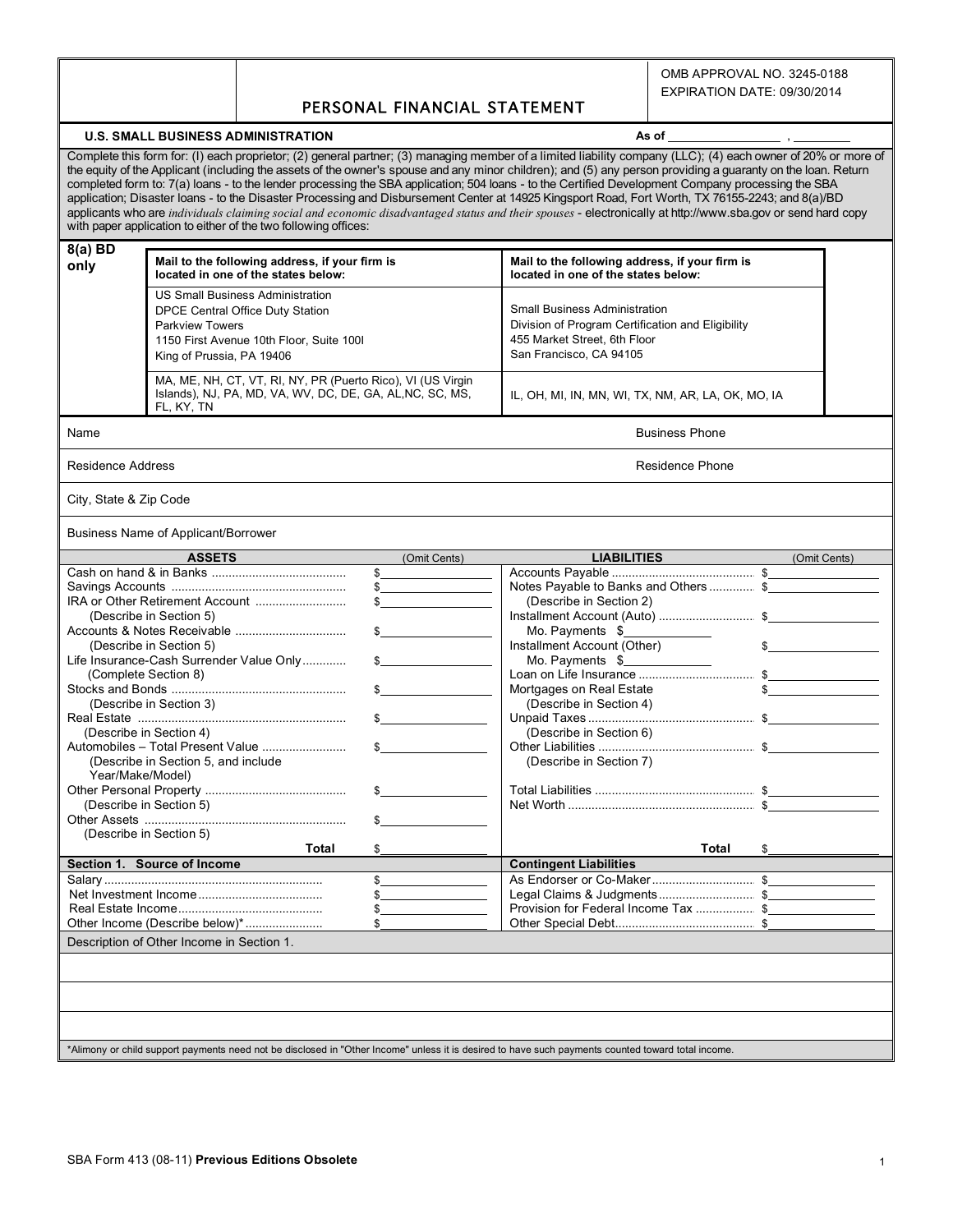OMB APPROVAL NO. 3245-0188

## PERSONAL FINANCIAL STATEMENT

## **U.S. SMALL BUSINESS ADMINISTRATION As of** , and a set of , and a set of , and a set of , and a set of , and a set of , and  $\alpha$

Complete this form for: (I) each proprietor; (2) general partner; (3) managing member of a limited liability company (LLC); (4) each owner of 20% or more of the equity of the Applicant (including the assets of the owner's spouse and any minor children); and (5) any person providing a guaranty on the loan. Return completed form to: 7(a) loans - to the lender processing the SBA application; 504 loans - to the Certified Development Company processing the SBA application; Disaster loans - to the Disaster Processing and Disbursement Center at 14925 Kingsport Road, Fort Worth, TX 76155-2243; and 8(a)/BD applicants who are *individuals claiming social and economic disadvantaged status and their spouses* - electronically at http://www.sba.gov or send hard copy with paper application to either of the two following offices: **8(a) BD**

| $O(d)$ DV<br>only | Mail to the following address, if your firm is<br>located in one of the states below:                                                                                          | Mail to the following address, if your firm is<br>located in one of the states below:                                                                |  |  |
|-------------------|--------------------------------------------------------------------------------------------------------------------------------------------------------------------------------|------------------------------------------------------------------------------------------------------------------------------------------------------|--|--|
|                   | <b>US Small Business Administration</b><br>DPCE Central Office Duty Station<br><b>Parkview Towers</b><br>1150 First Avenue 10th Floor, Suite 1001<br>King of Prussia, PA 19406 | <b>Small Business Administration</b><br>Division of Program Certification and Eligibility<br>455 Market Street, 6th Floor<br>San Francisco, CA 94105 |  |  |
|                   | MA, ME, NH, CT, VT, RI, NY, PR (Puerto Rico), VI (US Virgin<br>Islands), NJ, PA, MD, VA, WV, DC, DE, GA, AL, NC, SC, MS,<br>FL, KY, TN                                         | IL, OH, MI, IN, MN, WI, TX, NM, AR, LA, OK, MO, IA                                                                                                   |  |  |
| Name              |                                                                                                                                                                                | <b>Business Phone</b>                                                                                                                                |  |  |

Residence Address **Residence Phone** Residence Phone Residence Phone Residence Phone Residence Phone Residence Phone

City, State & Zip Code

Business Name of Applicant/Borrower

| <b>ASSETS</b>                                                                                                                                      | (Omit Cents)  | <b>LIABILITIES</b>                   | (Omit Cents) |  |  |  |  |
|----------------------------------------------------------------------------------------------------------------------------------------------------|---------------|--------------------------------------|--------------|--|--|--|--|
|                                                                                                                                                    | S             |                                      |              |  |  |  |  |
|                                                                                                                                                    | $\frac{1}{2}$ | Notes Payable to Banks and Others\$  |              |  |  |  |  |
|                                                                                                                                                    |               | (Describe in Section 2)              |              |  |  |  |  |
| (Describe in Section 5)                                                                                                                            |               |                                      |              |  |  |  |  |
|                                                                                                                                                    |               | Mo. Payments $\frac{1}{2}$           |              |  |  |  |  |
| (Describe in Section 5)                                                                                                                            |               | Installment Account (Other)          |              |  |  |  |  |
| Life Insurance-Cash Surrender Value Only                                                                                                           |               | Mo. Payments \$                      |              |  |  |  |  |
| (Complete Section 8)                                                                                                                               |               |                                      |              |  |  |  |  |
|                                                                                                                                                    |               | Mortgages on Real Estate             |              |  |  |  |  |
| (Describe in Section 3)                                                                                                                            |               | (Describe in Section 4)              |              |  |  |  |  |
|                                                                                                                                                    |               |                                      |              |  |  |  |  |
| (Describe in Section 4)                                                                                                                            |               | (Describe in Section 6)              |              |  |  |  |  |
|                                                                                                                                                    |               |                                      |              |  |  |  |  |
| (Describe in Section 5, and include                                                                                                                |               | (Describe in Section 7)              |              |  |  |  |  |
| Year/Make/Model)                                                                                                                                   |               |                                      |              |  |  |  |  |
|                                                                                                                                                    |               |                                      |              |  |  |  |  |
| (Describe in Section 5)                                                                                                                            |               |                                      |              |  |  |  |  |
|                                                                                                                                                    |               |                                      |              |  |  |  |  |
| (Describe in Section 5)                                                                                                                            |               |                                      |              |  |  |  |  |
| Total                                                                                                                                              |               | Total                                |              |  |  |  |  |
| Section 1. Source of Income                                                                                                                        |               | <b>Contingent Liabilities</b>        |              |  |  |  |  |
|                                                                                                                                                    | $\mathbb{S}$  |                                      |              |  |  |  |  |
|                                                                                                                                                    |               | Legal Claims & Judgments \$          |              |  |  |  |  |
|                                                                                                                                                    |               | Provision for Federal Income Tax  \$ |              |  |  |  |  |
| Other Income (Describe below)*                                                                                                                     |               |                                      |              |  |  |  |  |
| Description of Other Income in Section 1.                                                                                                          |               |                                      |              |  |  |  |  |
|                                                                                                                                                    |               |                                      |              |  |  |  |  |
|                                                                                                                                                    |               |                                      |              |  |  |  |  |
|                                                                                                                                                    |               |                                      |              |  |  |  |  |
|                                                                                                                                                    |               |                                      |              |  |  |  |  |
| *Alimony or child support payments need not be disclosed in "Other Income" unless it is desired to have such payments counted toward total income. |               |                                      |              |  |  |  |  |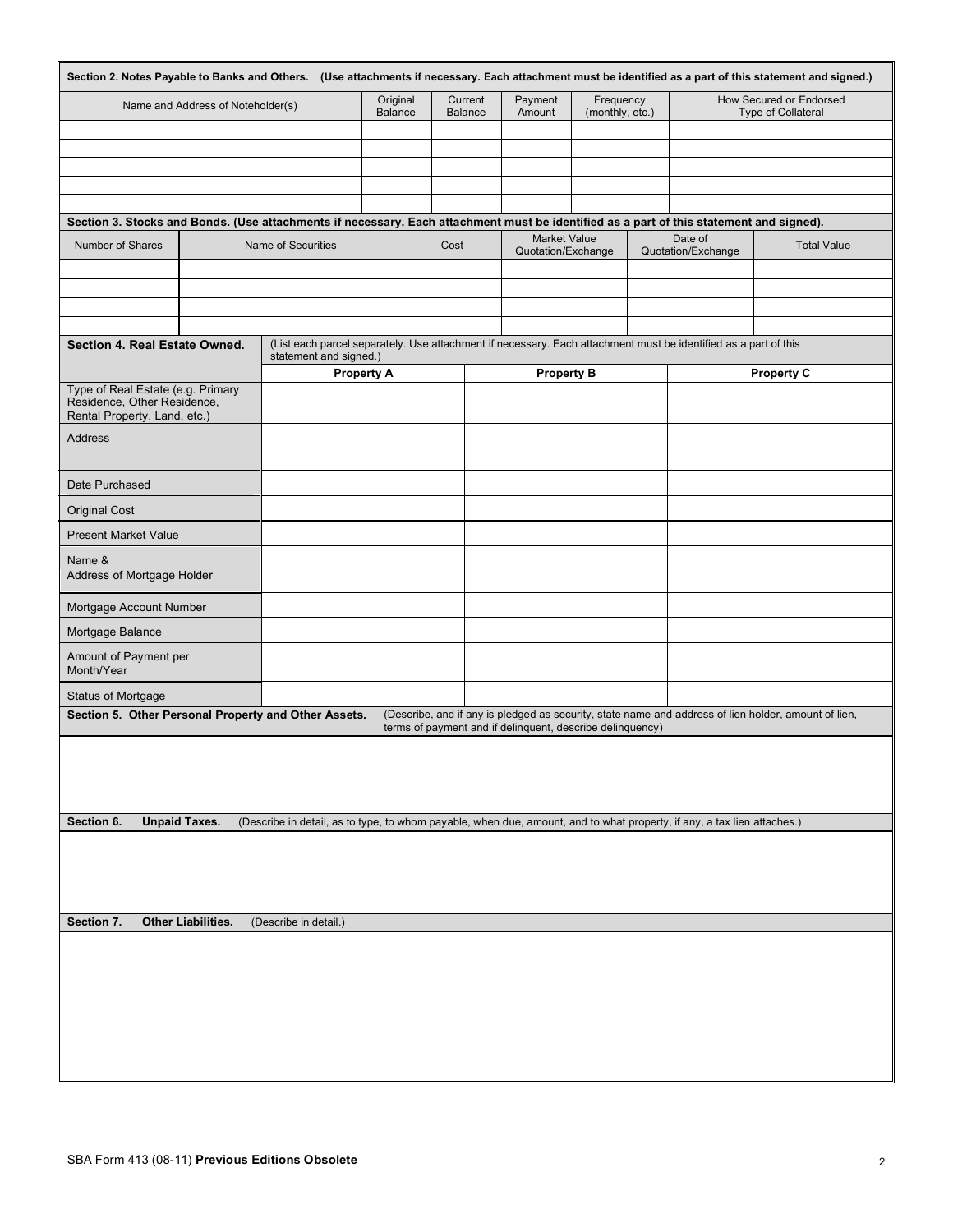| Section 2. Notes Payable to Banks and Others. (Use attachments if necessary. Each attachment must be identified as a part of this statement and signed.) |                                                                                                                                           |                       | Original          | Current                                                   | Payment                                   | Frequency       |                                                                                                                                         | How Secured or Endorsed |  |
|----------------------------------------------------------------------------------------------------------------------------------------------------------|-------------------------------------------------------------------------------------------------------------------------------------------|-----------------------|-------------------|-----------------------------------------------------------|-------------------------------------------|-----------------|-----------------------------------------------------------------------------------------------------------------------------------------|-------------------------|--|
| Name and Address of Noteholder(s)                                                                                                                        |                                                                                                                                           |                       | <b>Balance</b>    | <b>Balance</b>                                            | Amount                                    | (monthly, etc.) |                                                                                                                                         | Type of Collateral      |  |
|                                                                                                                                                          |                                                                                                                                           |                       |                   |                                                           |                                           |                 |                                                                                                                                         |                         |  |
|                                                                                                                                                          |                                                                                                                                           |                       |                   |                                                           |                                           |                 | Section 3. Stocks and Bonds. (Use attachments if necessary. Each attachment must be identified as a part of this statement and signed). |                         |  |
| Number of Shares                                                                                                                                         |                                                                                                                                           | Name of Securities    |                   | Cost                                                      | <b>Market Value</b><br>Quotation/Exchange |                 | Date of<br>Quotation/Exchange                                                                                                           | <b>Total Value</b>      |  |
|                                                                                                                                                          |                                                                                                                                           |                       |                   |                                                           |                                           |                 |                                                                                                                                         |                         |  |
| Section 4. Real Estate Owned.                                                                                                                            | (List each parcel separately. Use attachment if necessary. Each attachment must be identified as a part of this<br>statement and signed.) |                       |                   |                                                           |                                           |                 |                                                                                                                                         |                         |  |
| Type of Real Estate (e.g. Primary<br>Residence, Other Residence,<br>Rental Property, Land, etc.)                                                         |                                                                                                                                           |                       | <b>Property A</b> |                                                           | <b>Property B</b>                         |                 |                                                                                                                                         | <b>Property C</b>       |  |
| Address                                                                                                                                                  |                                                                                                                                           |                       |                   |                                                           |                                           |                 |                                                                                                                                         |                         |  |
| Date Purchased                                                                                                                                           |                                                                                                                                           |                       |                   |                                                           |                                           |                 |                                                                                                                                         |                         |  |
| <b>Original Cost</b>                                                                                                                                     |                                                                                                                                           |                       |                   |                                                           |                                           |                 |                                                                                                                                         |                         |  |
| <b>Present Market Value</b>                                                                                                                              |                                                                                                                                           |                       |                   |                                                           |                                           |                 |                                                                                                                                         |                         |  |
| Name &<br>Address of Mortgage Holder                                                                                                                     |                                                                                                                                           |                       |                   |                                                           |                                           |                 |                                                                                                                                         |                         |  |
| Mortgage Account Number                                                                                                                                  |                                                                                                                                           |                       |                   |                                                           |                                           |                 |                                                                                                                                         |                         |  |
| Mortgage Balance                                                                                                                                         |                                                                                                                                           |                       |                   |                                                           |                                           |                 |                                                                                                                                         |                         |  |
| Amount of Payment per<br>Month/Year                                                                                                                      |                                                                                                                                           |                       |                   |                                                           |                                           |                 |                                                                                                                                         |                         |  |
| Status of Mortgage                                                                                                                                       |                                                                                                                                           |                       |                   |                                                           |                                           |                 |                                                                                                                                         |                         |  |
| Section 5. Other Personal Property and Other Assets.                                                                                                     |                                                                                                                                           |                       |                   | terms of payment and if delinquent, describe delinquency) |                                           |                 | (Describe, and if any is pledged as security, state name and address of lien holder, amount of lien,                                    |                         |  |
|                                                                                                                                                          |                                                                                                                                           |                       |                   |                                                           |                                           |                 |                                                                                                                                         |                         |  |
| Section 6.<br><b>Unpaid Taxes.</b>                                                                                                                       |                                                                                                                                           |                       |                   |                                                           |                                           |                 | (Describe in detail, as to type, to whom payable, when due, amount, and to what property, if any, a tax lien attaches.)                 |                         |  |
|                                                                                                                                                          |                                                                                                                                           |                       |                   |                                                           |                                           |                 |                                                                                                                                         |                         |  |
|                                                                                                                                                          |                                                                                                                                           |                       |                   |                                                           |                                           |                 |                                                                                                                                         |                         |  |
|                                                                                                                                                          |                                                                                                                                           |                       |                   |                                                           |                                           |                 |                                                                                                                                         |                         |  |
| Section 7.<br>Other Liabilities.                                                                                                                         |                                                                                                                                           | (Describe in detail.) |                   |                                                           |                                           |                 |                                                                                                                                         |                         |  |
|                                                                                                                                                          |                                                                                                                                           |                       |                   |                                                           |                                           |                 |                                                                                                                                         |                         |  |
|                                                                                                                                                          |                                                                                                                                           |                       |                   |                                                           |                                           |                 |                                                                                                                                         |                         |  |
|                                                                                                                                                          |                                                                                                                                           |                       |                   |                                                           |                                           |                 |                                                                                                                                         |                         |  |
|                                                                                                                                                          |                                                                                                                                           |                       |                   |                                                           |                                           |                 |                                                                                                                                         |                         |  |
|                                                                                                                                                          |                                                                                                                                           |                       |                   |                                                           |                                           |                 |                                                                                                                                         |                         |  |
|                                                                                                                                                          |                                                                                                                                           |                       |                   |                                                           |                                           |                 |                                                                                                                                         |                         |  |